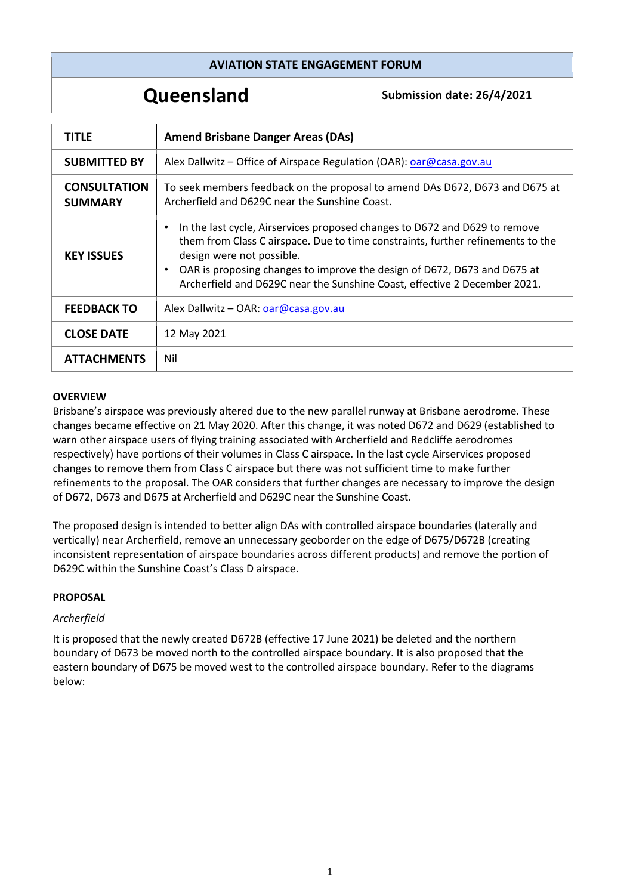## **AVIATION STATE ENGAGEMENT FORUM**

**Queensland Submission date: 26/4/2021**

| <b>TITLE</b>                          | <b>Amend Brisbane Danger Areas (DAs)</b>                                                                                                                                                                                                                                                                                                                                      |
|---------------------------------------|-------------------------------------------------------------------------------------------------------------------------------------------------------------------------------------------------------------------------------------------------------------------------------------------------------------------------------------------------------------------------------|
| <b>SUBMITTED BY</b>                   | Alex Dallwitz - Office of Airspace Regulation (OAR): oar@casa.gov.au                                                                                                                                                                                                                                                                                                          |
| <b>CONSULTATION</b><br><b>SUMMARY</b> | To seek members feedback on the proposal to amend DAs D672, D673 and D675 at<br>Archerfield and D629C near the Sunshine Coast.                                                                                                                                                                                                                                                |
| <b>KEY ISSUES</b>                     | In the last cycle, Airservices proposed changes to D672 and D629 to remove<br>$\bullet$<br>them from Class C airspace. Due to time constraints, further refinements to the<br>design were not possible.<br>OAR is proposing changes to improve the design of D672, D673 and D675 at<br>$\bullet$<br>Archerfield and D629C near the Sunshine Coast, effective 2 December 2021. |
| <b>FEEDBACK TO</b>                    | Alex Dallwitz - OAR: $\alpha$ ar@casa.gov.au                                                                                                                                                                                                                                                                                                                                  |
| <b>CLOSE DATE</b>                     | 12 May 2021                                                                                                                                                                                                                                                                                                                                                                   |
| <b>ATTACHMENTS</b>                    | Nil                                                                                                                                                                                                                                                                                                                                                                           |

#### **OVERVIEW**

Brisbane's airspace was previously altered due to the new parallel runway at Brisbane aerodrome. These changes became effective on 21 May 2020. After this change, it was noted D672 and D629 (established to warn other airspace users of flying training associated with Archerfield and Redcliffe aerodromes respectively) have portions of their volumes in Class C airspace. In the last cycle Airservices proposed changes to remove them from Class C airspace but there was not sufficient time to make further refinements to the proposal. The OAR considers that further changes are necessary to improve the design of D672, D673 and D675 at Archerfield and D629C near the Sunshine Coast.

The proposed design is intended to better align DAs with controlled airspace boundaries (laterally and vertically) near Archerfield, remove an unnecessary geoborder on the edge of D675/D672B (creating inconsistent representation of airspace boundaries across different products) and remove the portion of D629C within the Sunshine Coast's Class D airspace.

## **PROPOSAL**

## *Archerfield*

It is proposed that the newly created D672B (effective 17 June 2021) be deleted and the northern boundary of D673 be moved north to the controlled airspace boundary. It is also proposed that the eastern boundary of D675 be moved west to the controlled airspace boundary. Refer to the diagrams below: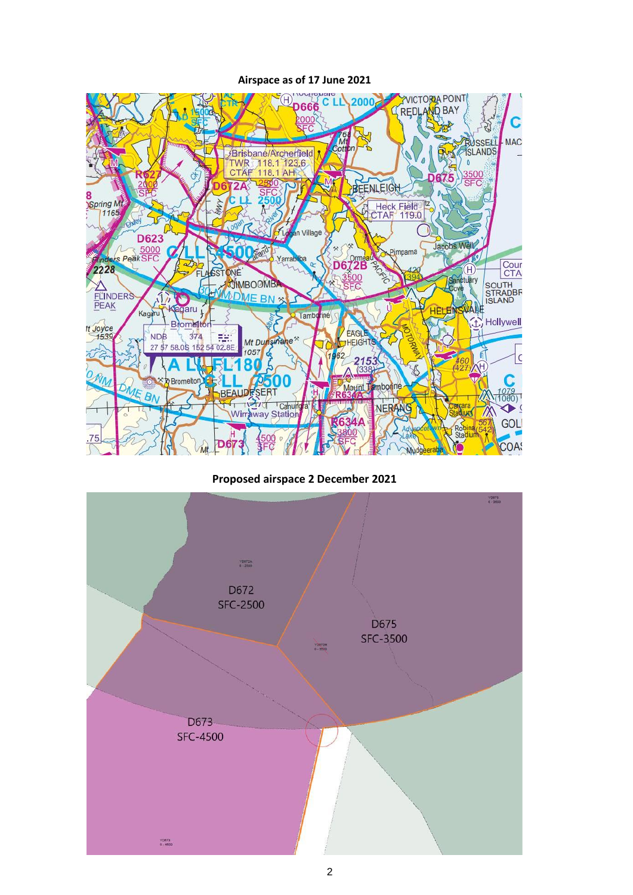

**Airspace as of 17 June 2021**

**Proposed airspace 2 December 2021**